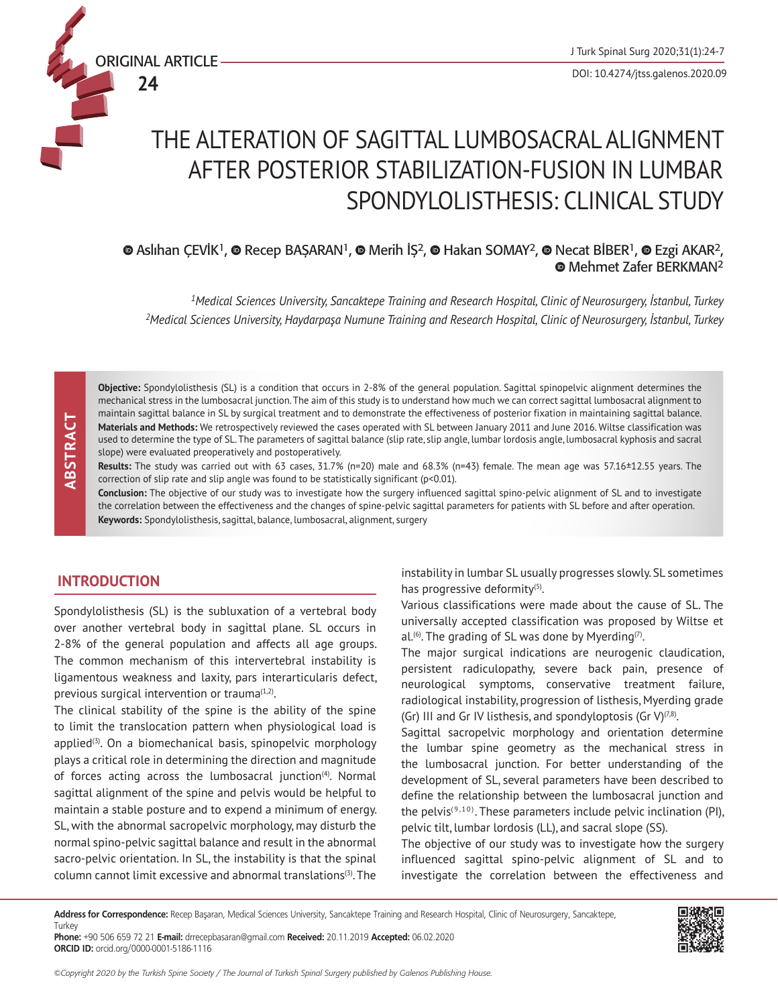

**24**

DOI: 10.4274/jtss.galenos.2020.09

# THE ALTERATION OF SAGITTAL LUMBOSACRAL ALIGNMENT AFTER POSTERIOR STABILIZATION-FUSION IN LUMBAR SPONDYLOLISTHESIS: CLINICAL STUDY

 $\bullet$ Aslıhan ÇEVİK<sup>1</sup>,  $\bullet$  Recep BAŞARAN<sup>1</sup>,  $\bullet$  Merih İŞ<sup>2</sup>,  $\bullet$  Hakan SOMAY<sup>2</sup>,  $\bullet$  Necat BİBER<sup>1</sup>,  $\bullet$  Ezgi AKAR<sup>2</sup>, Mehmet Zafer BERKMAN2

*<sup>1</sup>Medical Sciences University, Sancaktepe Training and Research Hospital, Clinic of Neurosurgery, İstanbul, Turkey <sup>2</sup>Medical Sciences University, Haydarpaşa Numune Training and Research Hospital, Clinic of Neurosurgery, İstanbul, Turkey*

**Objective:** Spondylolisthesis (SL) is a condition that occurs in 2-8% of the general population. Sagittal spinopelvic alignment determines the mechanical stress in the lumbosacral junction. The aim of this study is to understand how much we can correct sagittal lumbosacral alignment to maintain sagittal balance in SL by surgical treatment and to demonstrate the effectiveness of posterior fixation in maintaining sagittal balance. **Materials and Methods:** We retrospectively reviewed the cases operated with SL between January 2011 and June 2016. Wiltse classification was used to determine the type of SL. The parameters of sagittal balance (slip rate, slip angle, lumbar lordosis angle, lumbosacral kyphosis and sacral slope) were evaluated preoperatively and postoperatively.

**Results:** The study was carried out with 63 cases, 31.7% (n=20) male and 68.3% (n=43) female. The mean age was 57.16±12.55 years. The correction of slip rate and slip angle was found to be statistically significant (p<0.01).

**Conclusion:** The objective of our study was to investigate how the surgery influenced sagittal spino-pelvic alignment of SL and to investigate the correlation between the effectiveness and the changes of spine-pelvic sagittal parameters for patients with SL before and after operation. **Keywords:** Spondylolisthesis, sagittal, balance, lumbosacral, alignment, surgery

## **INTRODUCTION**

Spondylolisthesis (SL) is the subluxation of a vertebral body over another vertebral body in sagittal plane. SL occurs in 2-8% of the general population and affects all age groups. The common mechanism of this intervertebral instability is ligamentous weakness and laxity, pars interarticularis defect, previous surgical intervention or trauma<sup>(1,2)</sup>.

The clinical stability of the spine is the ability of the spine to limit the translocation pattern when physiological load is applied $(3)$ . On a biomechanical basis, spinopelvic morphology plays a critical role in determining the direction and magnitude of forces acting across the lumbosacral junction<sup>(4)</sup>. Normal sagittal alignment of the spine and pelvis would be helpful to maintain a stable posture and to expend a minimum of energy. SL, with the abnormal sacropelvic morphology, may disturb the normal spino-pelvic sagittal balance and result in the abnormal sacro-pelvic orientation. In SL, the instability is that the spinal column cannot limit excessive and abnormal translations(3). The

instability in lumbar SL usually progresses slowly. SL sometimes has progressive deformity<sup>(5)</sup>.

Various classifications were made about the cause of SL. The universally accepted classification was proposed by Wiltse et al.<sup>(6)</sup>. The grading of SL was done by Myerding<sup>(7)</sup>.

The major surgical indications are neurogenic claudication, persistent radiculopathy, severe back pain, presence of neurological symptoms, conservative treatment failure, radiological instability, progression of listhesis, Myerding grade (Gr) III and Gr IV listhesis, and spondyloptosis (Gr V) $(7,8)$ .

Sagittal sacropelvic morphology and orientation determine the lumbar spine geometry as the mechanical stress in the lumbosacral junction. For better understanding of the development of SL, several parameters have been described to define the relationship between the lumbosacral junction and the pelvis<sup>(9,10)</sup>. These parameters include pelvic inclination (PI), pelvic tilt, lumbar lordosis (LL), and sacral slope (SS).

The objective of our study was to investigate how the surgery influenced sagittal spino-pelvic alignment of SL and to investigate the correlation between the effectiveness and

**Address for Correspondence:** Recep Başaran, Medical Sciences University, Sancaktepe Training and Research Hospital, Clinic of Neurosurgery, Sancaktepe, **Turkey** 

**Phone:** +90 506 659 72 21 **E-mail:** drrecepbasaran@gmail.com **Received:** 20.11.2019 **Accepted:** 06.02.2020 **ORCID ID:** orcid.org/0000-0001-5186-1116

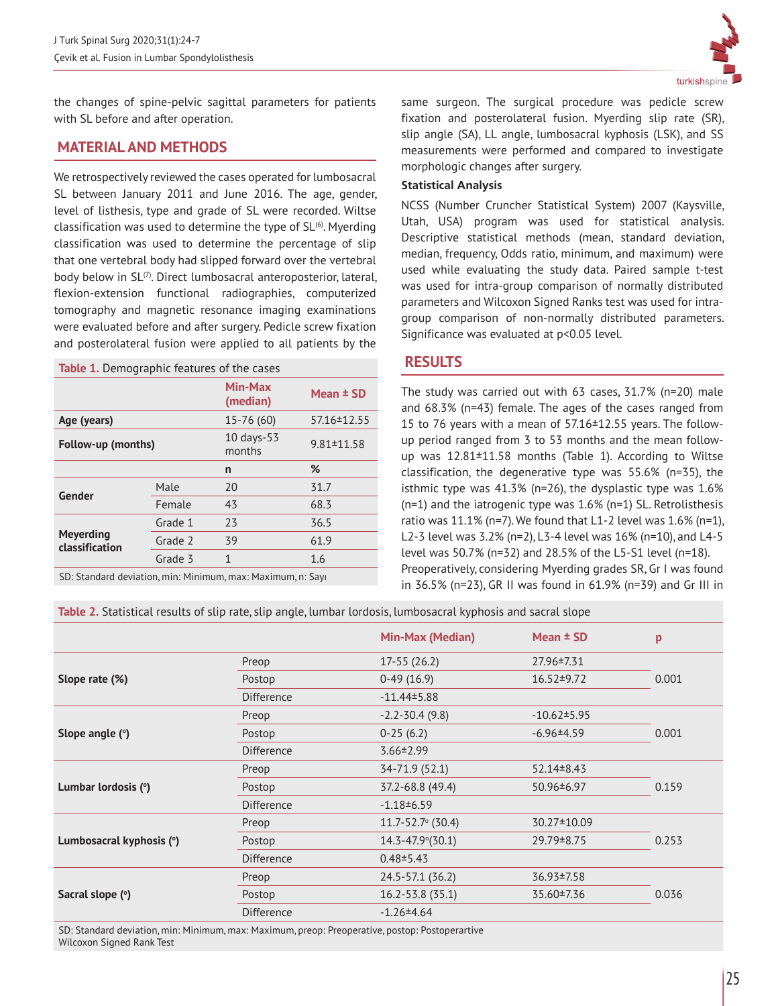the changes of spine-pelvic sagittal parameters for patients with SL before and after operation.

## **MATERIAL AND METHODS**

We retrospectively reviewed the cases operated for lumbosacral SL between January 2011 and June 2016. The age, gender, level of listhesis, type and grade of SL were recorded. Wiltse classification was used to determine the type of  $SL<sup>(6)</sup>$ . Myerding classification was used to determine the percentage of slip that one vertebral body had slipped forward over the vertebral body below in SL<sup>(7)</sup>. Direct lumbosacral anteroposterior, lateral, flexion-extension functional radiographies, computerized tomography and magnetic resonance imaging examinations were evaluated before and after surgery. Pedicle screw fixation and posterolateral fusion were applied to all patients by the

| <b>Table 1.</b> Demographic features of the cases |         |                        |                  |  |  |
|---------------------------------------------------|---------|------------------------|------------------|--|--|
|                                                   |         | Min-Max<br>(median)    | Mean $\pm$ SD    |  |  |
| Age (years)                                       |         | 15-76 (60)             | 57.16 ± 12.55    |  |  |
| Follow-up (months)                                |         | $10$ days-53<br>months | $9.81 \pm 11.58$ |  |  |
|                                                   |         | n                      | %                |  |  |
| Gender                                            | Male    | 20                     | 31.7             |  |  |
|                                                   | Female  | 43                     | 68.3             |  |  |
| <b>Meyerding</b><br>classification                | Grade 1 | 23                     | 36.5             |  |  |
|                                                   | Grade 2 | 39                     | 61.9             |  |  |
|                                                   | Grade 3 | 1                      | 1.6              |  |  |
|                                                   |         |                        |                  |  |  |

SD: Standard deviation, min: Minimum, max: Maximum, n: Sayı



same surgeon. The surgical procedure was pedicle screw fixation and posterolateral fusion. Myerding slip rate (SR), slip angle (SA), LL angle, lumbosacral kyphosis (LSK), and SS measurements were performed and compared to investigate morphologic changes after surgery.

## **Statistical Analysis**

NCSS (Number Cruncher Statistical System) 2007 (Kaysville, Utah, USA) program was used for statistical analysis. Descriptive statistical methods (mean, standard deviation, median, frequency, Odds ratio, minimum, and maximum) were used while evaluating the study data. Paired sample t-test was used for intra-group comparison of normally distributed parameters and Wilcoxon Signed Ranks test was used for intragroup comparison of non-normally distributed parameters. Significance was evaluated at p<0.05 level.

## **RESULTS**

The study was carried out with 63 cases, 31.7% (n=20) male and 68.3% (n=43) female. The ages of the cases ranged from 15 to 76 years with a mean of 57.16±12.55 years. The followup period ranged from 3 to 53 months and the mean followup was 12.81±11.58 months (Table 1). According to Wiltse classification, the degenerative type was 55.6% (n=35), the isthmic type was 41.3% (n=26), the dysplastic type was 1.6% (n=1) and the iatrogenic type was 1.6% (n=1) SL. Retrolisthesis ratio was 11.1% (n=7). We found that L1-2 level was 1.6% (n=1), L2-3 level was 3.2% (n=2), L3-4 level was 16% (n=10), and L4-5 level was 50.7% (n=32) and 28.5% of the L5-S1 level (n=18). Preoperatively, considering Myerding grades SR, Gr I was found in 36.5% (n=23), GR II was found in 61.9% (n=39) and Gr III in

### **Table 2.** Statistical results of slip rate, slip angle, lumbar lordosis, lumbosacral kyphosis and sacral slope

|                          |                   | <b>Min-Max (Median)</b>     | Mean $\pm$ SD     | p     |
|--------------------------|-------------------|-----------------------------|-------------------|-------|
| Slope rate (%)           | Preop             | $17-55(26.2)$               | 27.96 $±7.31$     | 0.001 |
|                          | Postop            | $0-49(16.9)$                | $16.52 \pm 9.72$  |       |
|                          | <b>Difference</b> | $-11.44 \pm 5.88$           |                   |       |
| Slope angle $(°)$        | Preop             | $-2.2 - 30.4(9.8)$          | $-10.62 \pm 5.95$ | 0.001 |
|                          | Postop            | $0-25(6.2)$                 | $-6.96 \pm 4.59$  |       |
|                          | <b>Difference</b> | $3.66 \pm 2.99$             |                   |       |
| Lumbar lordosis (°)      | Preop             | 34-71.9 (52.1)              | $52.14 \pm 8.43$  | 0.159 |
|                          | Postop            | 37.2-68.8 (49.4)            | 50.96 ± 6.97      |       |
|                          | <b>Difference</b> | $-1.18 \pm 6.59$            |                   |       |
| Lumbosacral kyphosis (°) | Preop             | $11.7 - 52.7$ ° (30.4)      | 30.27±10.09       | 0.253 |
|                          | Postop            | $14.3 - 47.9^{\circ}(30.1)$ | 29.79 ± 8.75      |       |
|                          | <b>Difference</b> | $0.48 \pm 5.43$             |                   |       |
| Sacral slope (°)         | Preop             | 24.5-57.1 (36.2)            | 36.93±7.58        | 0.036 |
|                          | Postop            | $16.2 - 53.8$ (35.1)        | 35.60 ± 7.36      |       |
|                          | <b>Difference</b> | $-1.26 \pm 4.64$            |                   |       |

SD: Standard deviation, min: Minimum, max: Maximum, preop: Preoperative, postop: Postoperartive Wilcoxon Signed Rank Test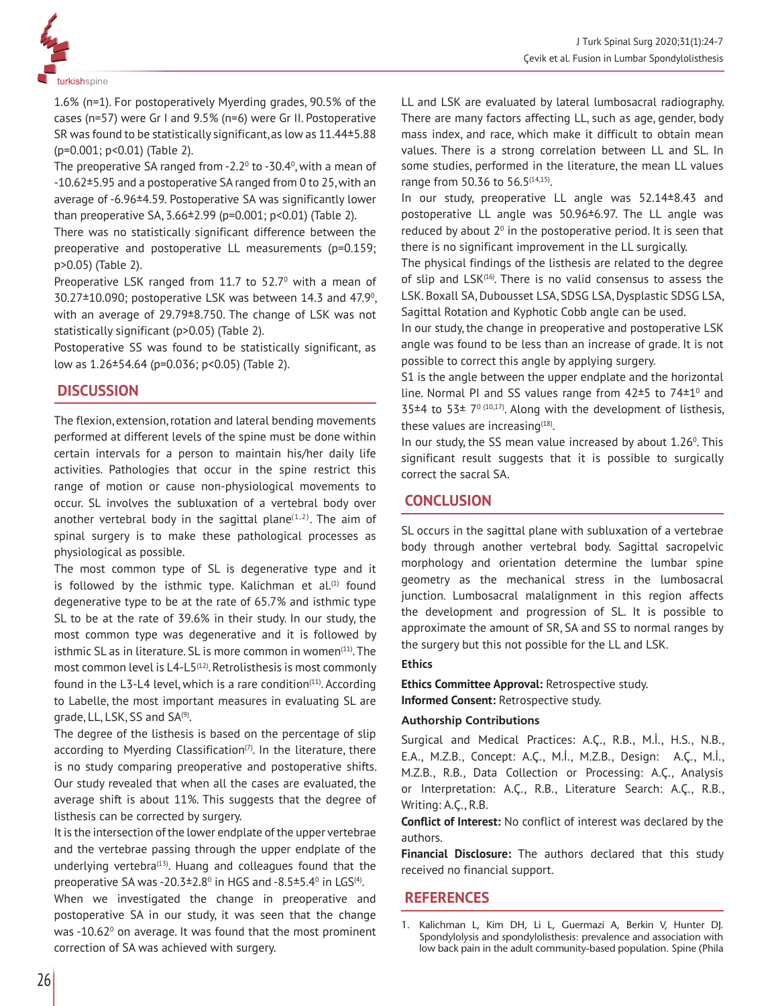

1.6% (n=1). For postoperatively Myerding grades, 90.5% of the cases (n=57) were Gr I and 9.5% (n=6) were Gr II. Postoperative SR was found to be statistically significant, as low as 11.44±5.88 (p=0.001; p<0.01) (Table 2).

The preoperative SA ranged from -2.2 $\textdegree$  to -30.4 $\textdegree$ , with a mean of -10.62±5.95 and a postoperative SA ranged from 0 to 25, with an average of -6.96±4.59. Postoperative SA was significantly lower than preoperative SA, 3.66±2.99 (p=0.001; p<0.01) (Table 2).

There was no statistically significant difference between the preoperative and postoperative LL measurements (p=0.159; p>0.05) (Table 2).

Preoperative LSK ranged from 11.7 to  $52.7^\circ$  with a mean of  $30.27 \pm 10.090$ ; postoperative LSK was between 14.3 and 47.9 $^{\circ}$ , with an average of 29.79±8.750. The change of LSK was not statistically significant (p>0.05) (Table 2).

Postoperative SS was found to be statistically significant, as low as 1.26±54.64 (p=0.036; p<0.05) (Table 2).

# **DISCUSSION**

The flexion, extension, rotation and lateral bending movements performed at different levels of the spine must be done within certain intervals for a person to maintain his/her daily life activities. Pathologies that occur in the spine restrict this range of motion or cause non-physiological movements to occur. SL involves the subluxation of a vertebral body over another vertebral body in the sagittal plane $(1,2)$ . The aim of spinal surgery is to make these pathological processes as physiological as possible.

The most common type of SL is degenerative type and it is followed by the isthmic type. Kalichman et  $al.^{(1)}$  found degenerative type to be at the rate of 65.7% and isthmic type SL to be at the rate of 39.6% in their study. In our study, the most common type was degenerative and it is followed by isthmic SL as in literature. SL is more common in women<sup>(11)</sup>. The most common level is  $L4-L5^{(12)}$ . Retrolisthesis is most commonly found in the L3-L4 level, which is a rare condition $(11)$ . According to Labelle, the most important measures in evaluating SL are grade, LL, LSK, SS and SA<sup>(9)</sup>.

The degree of the listhesis is based on the percentage of slip according to Myerding Classification<sup> $(7)$ </sup>. In the literature, there is no study comparing preoperative and postoperative shifts. Our study revealed that when all the cases are evaluated, the average shift is about 11%. This suggests that the degree of listhesis can be corrected by surgery.

It is the intersection of the lower endplate of the upper vertebrae and the vertebrae passing through the upper endplate of the underlying vertebra $(13)$ . Huang and colleagues found that the preoperative SA was -20.3 $\pm$ 2.8 $^{\rm o}$  in HGS and -8.5 $\pm$ 5.4 $^{\rm o}$  in LGS $^{\rm (4)}$ .

When we investigated the change in preoperative and postoperative SA in our study, it was seen that the change was -10.62 $^{\circ}$  on average. It was found that the most prominent correction of SA was achieved with surgery.

LL and LSK are evaluated by lateral lumbosacral radiography. There are many factors affecting LL, such as age, gender, body mass index, and race, which make it difficult to obtain mean values. There is a strong correlation between LL and SL. In some studies, performed in the literature, the mean LL values range from 50.36 to 56.5<sup>(14,15)</sup>.

In our study, preoperative LL angle was 52.14±8.43 and postoperative LL angle was 50.96±6.97. The LL angle was reduced by about  $2^{\circ}$  in the postoperative period. It is seen that there is no significant improvement in the LL surgically.

The physical findings of the listhesis are related to the degree of slip and LSK<sup>(16)</sup>. There is no valid consensus to assess the LSK. Boxall SA, Dubousset LSA, SDSG LSA, Dysplastic SDSG LSA, Sagittal Rotation and Kyphotic Cobb angle can be used.

In our study, the change in preoperative and postoperative LSK angle was found to be less than an increase of grade. It is not possible to correct this angle by applying surgery.

S1 is the angle between the upper endplate and the horizontal line. Normal PI and SS values range from  $42\pm5$  to  $74\pm1^{\circ}$  and 35 $\pm$ 4 to 53 $\pm$  7<sup>0 (10,17)</sup>. Along with the development of listhesis, these values are increasing $(18)$ .

In our study, the SS mean value increased by about 1.26<sup>0</sup>. This significant result suggests that it is possible to surgically correct the sacral SA.

# **CONCLUSION**

SL occurs in the sagittal plane with subluxation of a vertebrae body through another vertebral body. Sagittal sacropelvic morphology and orientation determine the lumbar spine geometry as the mechanical stress in the lumbosacral junction. Lumbosacral malalignment in this region affects the development and progression of SL. It is possible to approximate the amount of SR, SA and SS to normal ranges by the surgery but this not possible for the LL and LSK.

### **Ethics**

**Ethics Committee Approval:** Retrospective study. **Informed Consent:** Retrospective study.

### **Authorship Contributions**

Surgical and Medical Practices: A.Ç., R.B., M.İ., H.S., N.B., E.A., M.Z.B., Concept: A.Ç., M.İ., M.Z.B., Design: A.Ç., M.İ., M.Z.B., R.B., Data Collection or Processing: A.Ç., Analysis or Interpretation: A.Ç., R.B., Literature Search: A.Ç., R.B., Writing: A.Ç., R.B.

**Conflict of Interest:** No conflict of interest was declared by the authors.

**Financial Disclosure:** The authors declared that this study received no financial support.

# **REFERENCES**

<sup>1.</sup> Kalichman L, Kim DH, Li L, Guermazi A, Berkin V, Hunter DJ. Spondylolysis and spondylolisthesis: prevalence and association with low back pain in the adult community-based population. Spine (Phila